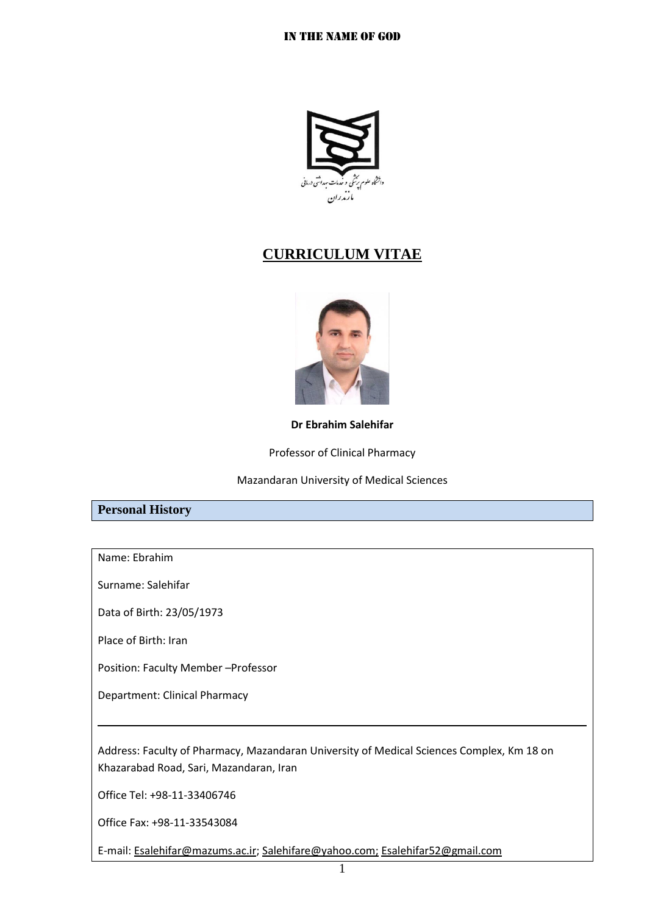

# **CURRICULUM VITAE**



**Dr Ebrahim Salehifar**

Professor of Clinical Pharmacy

Mazandaran University of Medical Sciences

### **Personal History**

Name: Ebrahim

Surname: Salehifar

Data of Birth: 23/05/1973

Place of Birth: Iran

Position: Faculty Member –Professor

Department: Clinical Pharmacy

Address: Faculty of Pharmacy, Mazandaran University of Medical Sciences Complex, Km 18 on Khazarabad Road, Sari, Mazandaran, Iran

Office Tel: +98-11-33406746

Office Fax: +98-11-33543084

E-mail: [Esalehifar@mazums.ac.ir;](mailto:Esalehifar@mazums.ac.ir) [Salehifare@yahoo.com;](mailto:Salehifare@yahoo.com) Esalehifar52@gmail.com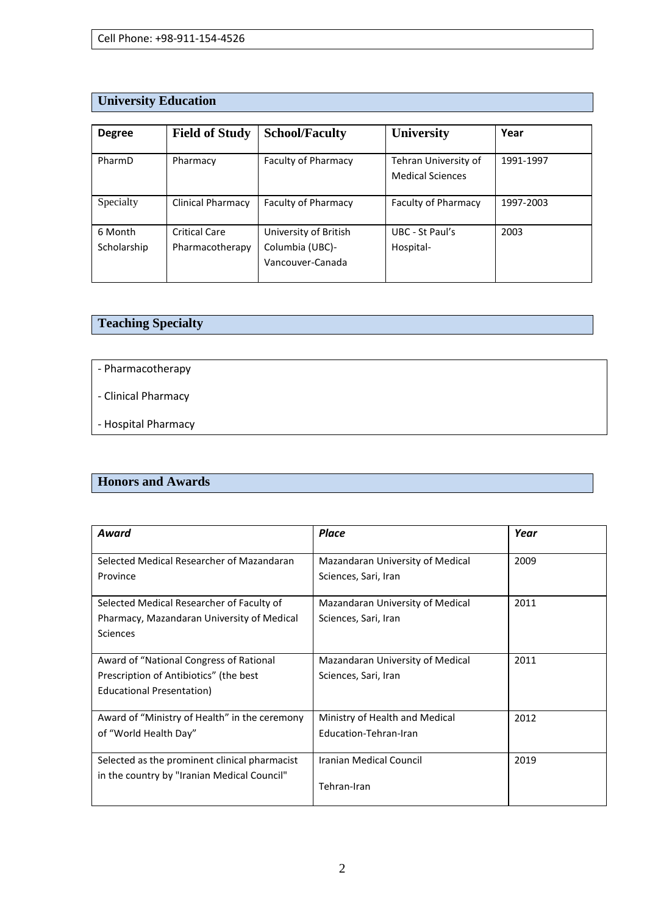# **University Education**

| <b>Degree</b>          | <b>Field of Study</b>                   | <b>School/Faculty</b>                                        | <b>University</b>                               | Year      |
|------------------------|-----------------------------------------|--------------------------------------------------------------|-------------------------------------------------|-----------|
| PharmD                 | Pharmacy                                | <b>Faculty of Pharmacy</b>                                   | Tehran University of<br><b>Medical Sciences</b> | 1991-1997 |
| Specialty              | <b>Clinical Pharmacy</b>                | <b>Faculty of Pharmacy</b>                                   | Faculty of Pharmacy                             | 1997-2003 |
| 6 Month<br>Scholarship | <b>Critical Care</b><br>Pharmacotherapy | University of British<br>Columbia (UBC)-<br>Vancouver-Canada | UBC - St Paul's<br>Hospital-                    | 2003      |

# **Teaching Specialty**

- Pharmacotherapy

- Clinical Pharmacy

- Hospital Pharmacy

### **Honors and Awards**

| Award                                         | Place                            | Year |
|-----------------------------------------------|----------------------------------|------|
|                                               |                                  |      |
| Selected Medical Researcher of Mazandaran     | Mazandaran University of Medical | 2009 |
| Province                                      | Sciences, Sari, Iran             |      |
|                                               |                                  |      |
| Selected Medical Researcher of Faculty of     | Mazandaran University of Medical | 2011 |
| Pharmacy, Mazandaran University of Medical    | Sciences, Sari, Iran             |      |
| <b>Sciences</b>                               |                                  |      |
|                                               |                                  |      |
| Award of "National Congress of Rational       | Mazandaran University of Medical | 2011 |
| Prescription of Antibiotics" (the best        | Sciences, Sari, Iran             |      |
| Educational Presentation)                     |                                  |      |
|                                               |                                  |      |
| Award of "Ministry of Health" in the ceremony | Ministry of Health and Medical   | 2012 |
| of "World Health Day"                         | Education-Tehran-Iran            |      |
|                                               |                                  |      |
| Selected as the prominent clinical pharmacist | Iranian Medical Council          | 2019 |
| in the country by "Iranian Medical Council"   |                                  |      |
|                                               | Tehran-Iran                      |      |
|                                               |                                  |      |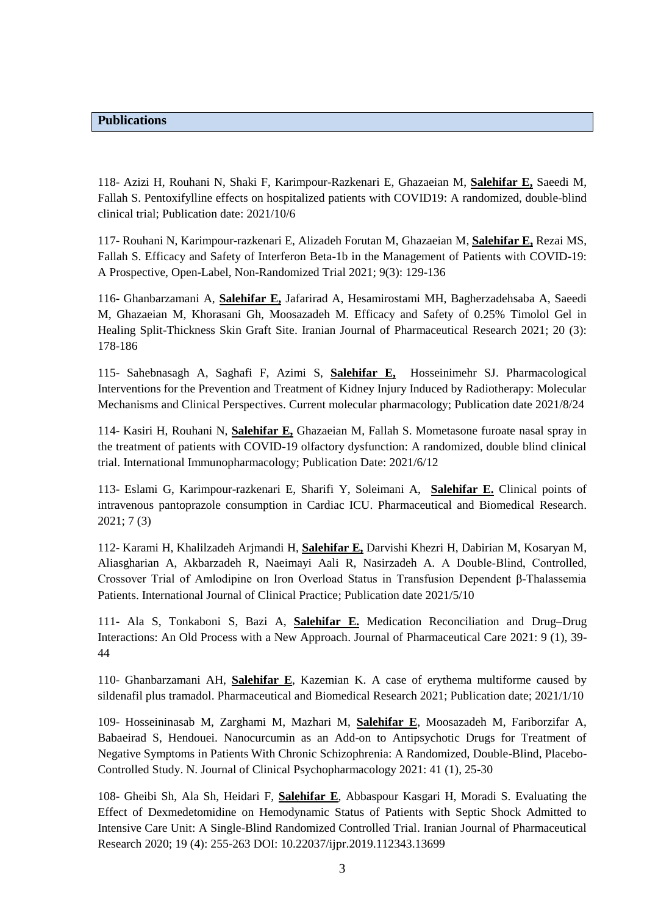#### **Publications**

118- Azizi H, Rouhani N, Shaki F, Karimpour-Razkenari E, Ghazaeian M, **Salehifar E,** Saeedi M, Fallah S. [Pentoxifylline effects on hospitalized patients with COVID19: A randomized, double-blind](https://www.sciencedirect.com/science/article/pii/S1567576921008638)  [clinical trial;](https://www.sciencedirect.com/science/article/pii/S1567576921008638) Publication date: 2021/10/6

117- Rouhani N, Karimpour-razkenari E, Alizadeh Forutan M, Ghazaeian M, **Salehifar E,** Rezai MS, Fallah S. Efficacy [and Safety of Interferon Beta-1b in the Management of Patients with COVID-19:](https://jpc.tums.ac.ir/index.php/jpc/article/view/423)  [A Prospective, Open-Label, Non-Randomized Trial](https://jpc.tums.ac.ir/index.php/jpc/article/view/423) 2021; 9(3): 129-136

116- Ghanbarzamani A, **Salehifar E,** Jafarirad A, Hesamirostami MH, Bagherzadehsaba A, Saeedi M, Ghazaeian M, Khorasani Gh, Moosazadeh M. [Efficacy and Safety of 0.25% Timolol Gel in](http://ijpr.sbmu.ac.ir/article_1101495.html)  [Healing Split-Thickness Skin Graft Site.](http://ijpr.sbmu.ac.ir/article_1101495.html) Iranian Journal of Pharmaceutical Research 2021; 20 (3): 178-186

115- Sahebnasagh A, Saghafi F, Azimi S, **Salehifar E,** Hosseinimehr SJ. [Pharmacological](https://europepmc.org/article/med/34429052)  [Interventions for the Prevention and Treatment of Kidney Injury Induced by Radiotherapy: Molecular](https://europepmc.org/article/med/34429052)  [Mechanisms and Clinical Perspectives.](https://europepmc.org/article/med/34429052) Current molecular pharmacology; Publication date 2021/8/24

114- Kasiri H, Rouhani N, **Salehifar E,** Ghazaeian M, Fallah S. [Mometasone furoate nasal spray in](https://www.sciencedirect.com/science/article/pii/S1567576921005075)  [the treatment of patients with COVID-19 olfactory dysfunction: A randomized, double blind clinical](https://www.sciencedirect.com/science/article/pii/S1567576921005075)  [trial.](https://www.sciencedirect.com/science/article/pii/S1567576921005075) International Immunopharmacology; Publication Date: 2021/6/12

113- Eslami G, Karimpour-razkenari E, Sharifi Y, Soleimani A, **Salehifar E.** [Clinical points of](https://scholar.google.com/citations?view_op=view_citation&hl=en&user=3tXwLXYAAAAJ&sortby=pubdate&citation_for_view=3tXwLXYAAAAJ:XoXfffV-tXoC)  [intravenous pantoprazole consumption in Cardiac ICU.](https://scholar.google.com/citations?view_op=view_citation&hl=en&user=3tXwLXYAAAAJ&sortby=pubdate&citation_for_view=3tXwLXYAAAAJ:XoXfffV-tXoC) Pharmaceutical and Biomedical Research. 2021; 7 (3)

112- Karami H, Khalilzadeh Arjmandi H, **Salehifar E,** Darvishi Khezri H, Dabirian M, Kosaryan M, Aliasgharian A, Akbarzadeh R, Naeimayi Aali R, Nasirzadeh A. [A Double‐Blind, Controlled,](https://onlinelibrary.wiley.com/doi/abs/10.1111/ijcp.14337)  Crossover Trial of Amlodipine on Iron Overload Status in Transfusion Dependent β-Thalassemia [Patients.](https://onlinelibrary.wiley.com/doi/abs/10.1111/ijcp.14337) International Journal of Clinical Practice; Publication date 2021/5/10

111- Ala S, Tonkaboni S, Bazi A, **Salehifar E.** [Medication Reconciliation and Drug–Drug](https://scholar.google.com/citations?view_op=view_citation&hl=en&user=3tXwLXYAAAAJ&sortby=pubdate&citation_for_view=3tXwLXYAAAAJ:HbR8gkJAVGIC)  [Interactions: An Old Process with a New Approach.](https://scholar.google.com/citations?view_op=view_citation&hl=en&user=3tXwLXYAAAAJ&sortby=pubdate&citation_for_view=3tXwLXYAAAAJ:HbR8gkJAVGIC) Journal of Pharmaceutical Care 2021: 9 (1), 39- 44

110- Ghanbarzamani AH, **Salehifar E**, Kazemian K. [A case of erythema multiforme caused by](http://pbr.mazums.ac.ir/browse.php?a_id=361&sid=1&slc_lang=fa)  [sildenafil plus tramadol.](http://pbr.mazums.ac.ir/browse.php?a_id=361&sid=1&slc_lang=fa) Pharmaceutical and Biomedical Research 2021; Publication date; 2021/1/10

109- Hosseininasab M, Zarghami M, Mazhari M, **Salehifar E**, Moosazadeh M, Fariborzifar A, Babaeirad S, Hendouei. [Nanocurcumin as an Add-on to Antipsychotic Drugs for Treatment of](javascript:void(0))  [Negative Symptoms in Patients With Chronic Schizophrenia: A Randomized, Double-Blind, Placebo-](javascript:void(0))[Controlled Study.](javascript:void(0)) N. Journal of Clinical Psychopharmacology 2021: 41 (1), 25-30

108- Gheibi Sh, Ala Sh, Heidari F, **Salehifar E**, Abbaspour Kasgari H, Moradi S. [Evaluating the](javascript:void(0))  [Effect of Dexmedetomidine on Hemodynamic Status of Patients with Septic Shock Admitted to](javascript:void(0))  [Intensive Care Unit: A Single-Blind Randomized Controlled Trial.](javascript:void(0)) Iranian Journal of Pharmaceutical Research 2020; 19 (4): 255-263 DOI: 10.22037/ijpr.2019.112343.13699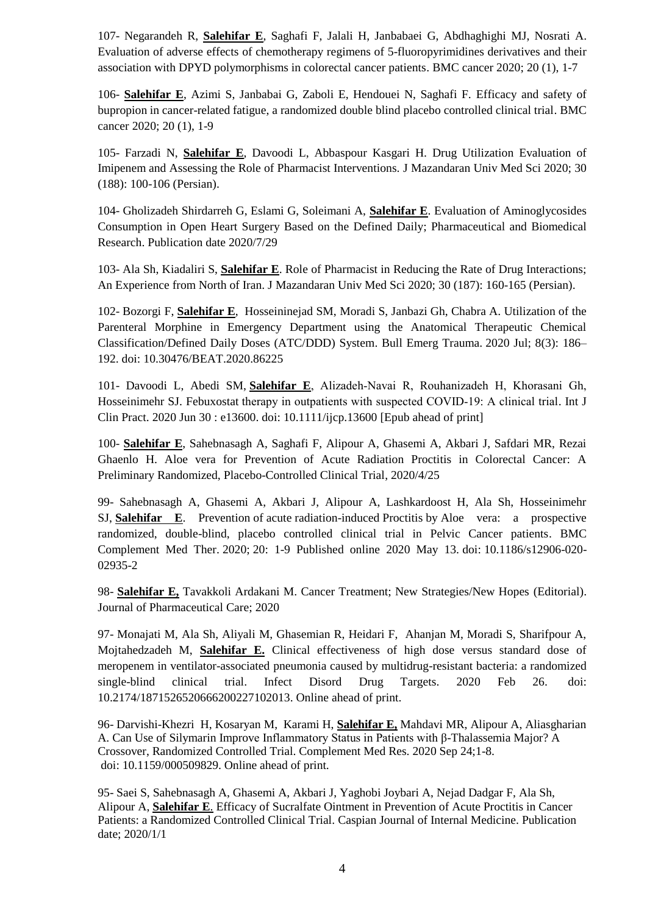107- Negarandeh R, **Salehifar E**, Saghafi F, Jalali H, Janbabaei G, Abdhaghighi MJ, Nosrati A. [Evaluation of adverse effects of chemotherapy regimens of 5-fluoropyrimidines derivatives and their](https://bmccancer.biomedcentral.com/articles/10.1186/s12885-020-06904-3)  [association with DPYD polymorphisms in colorectal cancer patients.](https://bmccancer.biomedcentral.com/articles/10.1186/s12885-020-06904-3) BMC cancer 2020; 20 (1), 1-7

106- **Salehifar E**, Azimi S, Janbabai G, Zaboli E, Hendouei N, Saghafi F. [Efficacy and safety of](javascript:void(0))  [bupropion in cancer-related fatigue, a randomized double blind placebo controlled clinical trial.](javascript:void(0)) BMC cancer 2020; 20 (1), 1-9

105- Farzadi N, **Salehifar E**, Davoodi L, Abbaspour Kasgari H. Drug Utilization Evaluation of Imipenem and Assessing the Role of Pharmacist Interventions. J Mazandaran Univ Med Sci 2020; 30 (188): 100-106 (Persian).

104- Gholizadeh Shirdarreh G, Eslami G, Soleimani A, **Salehifar E**. Evaluation of Aminoglycosides Consumption in Open Heart Surgery Based on the Defined Daily; Pharmaceutical and Biomedical Research. Publication date 2020/7/29

103- Ala Sh, Kiadaliri S, **Salehifar E**. Role of Pharmacist in Reducing the Rate of Drug Interactions; An Experience from North of Iran. J Mazandaran Univ Med Sci 2020; 30 (187): 160-165 (Persian).

102- [Bozorgi](https://www.ncbi.nlm.nih.gov/pubmed/?term=Bozorgi%20F%5BAuthor%5D&cauthor=true&cauthor_uid=32944579) F, **[Salehifar](https://www.ncbi.nlm.nih.gov/pubmed/?term=Salehifar%20E%5BAuthor%5D&cauthor=true&cauthor_uid=32944579) E**, [Hosseininejad](https://www.ncbi.nlm.nih.gov/pubmed/?term=Hosseininejad%20SM%5BAuthor%5D&cauthor=true&cauthor_uid=32944579) SM, [Moradi](https://www.ncbi.nlm.nih.gov/pubmed/?term=Moradi%20S%5BAuthor%5D&cauthor=true&cauthor_uid=32944579) S, Janbazi Gh, Chabra A. Utilization of the Parenteral Morphine in Emergency Department using the Anatomical Therapeutic Chemical Classification/Defined Daily Doses (ATC/DDD) System. [Bull Emerg Trauma.](https://www.ncbi.nlm.nih.gov/pmc/articles/PMC7468224/) 2020 Jul; 8(3): 186– 192. doi: [10.30476/BEAT.2020.86225](https://dx.doi.org/10.30476%2FBEAT.2020.86225)

101- Davoodi L, Abedi SM, **Salehifar E**, Alizadeh‐Navai R, Rouhanizadeh H, Khorasani Gh, Hosseinimehr SJ. Febuxostat therapy in outpatients with suspected COVID-19: A clinical trial. Int J Clin Pract. 2020 Jun 30 : e13600. doi: 10.1111/ijcp.13600 [Epub ahead of print]

100- **Salehifar E**, Sahebnasagh A, Saghafi F, Alipour A, Ghasemi A, Akbari J, Safdari MR, Rezai Ghaenlo H. Aloe vera for Prevention of Acute Radiation Proctitis in Colorectal Cancer: A Preliminary Randomized, Placebo-Controlled Clinical Trial, 2020/4/25

99- Sahebnasagh A, Ghasemi A, Akbari J, Alipour A, Lashkardoost H, Ala Sh, Hosseinimehr SJ, **Salehifar E**. Prevention of acute radiation-induced Proctitis by [Aloe vera: a prospective](https://www.ncbi.nlm.nih.gov/pmc/articles/PMC7222341/)  [randomized, double-blind, placebo controlled clinical trial in Pelvic Cancer patients.](https://www.ncbi.nlm.nih.gov/pmc/articles/PMC7222341/) BMC Complement Med Ther. 2020; 20: 1-9 Published online 2020 May 13. doi: 10.1186/s12906-020- 02935-2

98- **Salehifar E,** Tavakkoli Ardakani M. [Cancer Treatment; New Strategies/New Hopes](javascript:void(0)) (Editorial). Journal of Pharmaceutical Care; 2020

97- Monajati M, Ala Sh, Aliyali M, Ghasemian R, Heidari F, Ahanjan M, Moradi S, Sharifpour A, Mojtahedzadeh M, **Salehifar E.** Clinical effectiveness of high dose versus standard dose of meropenem in ventilator-associated pneumonia caused by multidrug-resistant bacteria: a randomized single-blind clinical trial. Infect Disord Drug Targets. 2020 Feb 26. doi: 10.2174/1871526520666200227102013. Online ahead of print.

96- [Darvishi-Khezri](https://pubmed.ncbi.nlm.nih.gov/?term=Darvishi-Khezri+H&cauthor_id=32971524) H, [Kosaryan](https://pubmed.ncbi.nlm.nih.gov/?term=Kosaryan+M&cauthor_id=32971524) M, [Karami H,](https://pubmed.ncbi.nlm.nih.gov/?term=Karami+H&cauthor_id=32971524) **[Salehifar E,](https://pubmed.ncbi.nlm.nih.gov/?term=Salehifar+E&cauthor_id=32971524)** [Mahdavi MR, Alipour](https://pubmed.ncbi.nlm.nih.gov/?term=Mahdavi+M&cauthor_id=32971524) A, [Aliasgharian](https://pubmed.ncbi.nlm.nih.gov/?term=Aliasgharian+A&cauthor_id=32971524) A. Can Use of Silymarin Improve Inflammatory Status in Patients with β-Thalassemia Major? A Crossover, Randomized Controlled Trial. Complement Med Res. 2020 Sep 24;1-8. doi: 10.1159/000509829. Online ahead of print.

95- Saei S, Sahebnasagh A, Ghasemi A, Akbari J, Yaghobi Joybari A, Nejad Dadgar F, Ala Sh, Alipour A, **Salehifar E**. [Efficacy of Sucralfate Ointment in Prevention of Acute Proctitis in Cancer](http://caspjim.com/article-1-2009-fa.pdf)  [Patients: a Randomized Controlled Clinical Trial.](http://caspjim.com/article-1-2009-fa.pdf) Caspian Journal of Internal Medicine. Publication date; 2020/1/1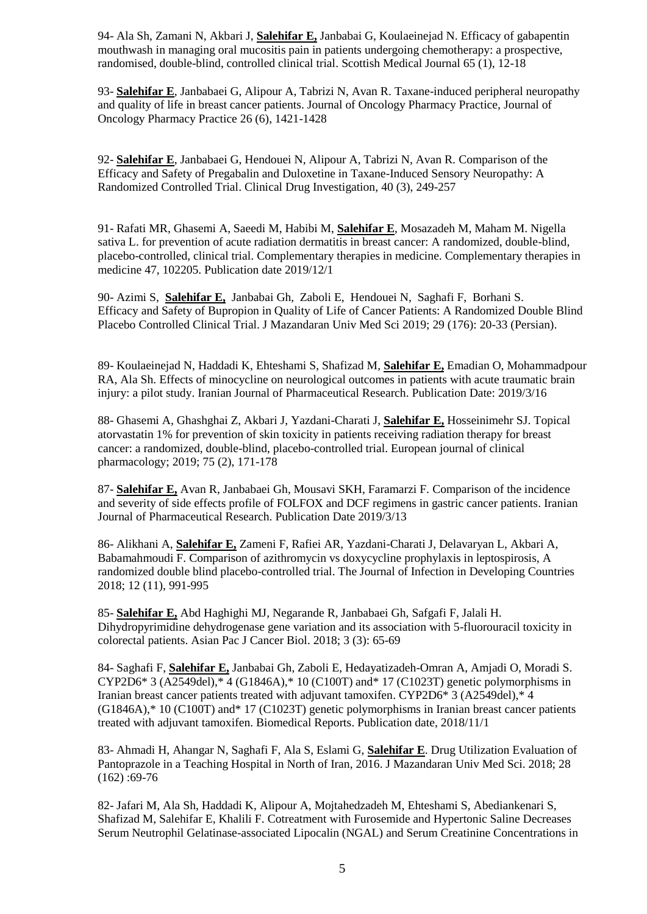94- Ala Sh, Zamani N, Akbari J, **Salehifar E,** Janbabai G, Koulaeinejad N. [Efficacy of gabapentin](javascript:void(0))  [mouthwash in managing oral mucositis pain in patients undergoing chemotherapy: a prospective,](javascript:void(0))  [randomised, double-blind, controlled clinical trial.](javascript:void(0)) Scottish Medical Journal 65 (1), 12-18

93- **Salehifar E**, Janbabaei G, Alipour A, Tabrizi N, Avan R. [Taxane-induced peripheral neuropathy](javascript:void(0))  [and quality of life in breast cancer patients.](javascript:void(0)) Journal of Oncology Pharmacy Practice, Journal of Oncology Pharmacy Practice 26 (6), 1421-1428

92- **Salehifar E**, Janbabaei G, Hendouei N, Alipour A, Tabrizi N, Avan R. [Comparison of the](javascript:void(0))  [Efficacy and Safety of Pregabalin and Duloxetine in Taxane-Induced Sensory Neuropathy: A](javascript:void(0))  [Randomized Controlled Trial.](javascript:void(0)) Clinical Drug Investigation, 40 (3), 249-257

91- Rafati MR, Ghasemi A, Saeedi M, Habibi M, **Salehifar E**, Mosazadeh M, Maham M. [Nigella](https://www.sciencedirect.com/science/article/pii/S096522991831238X)  [sativa L. for prevention of acute radiation dermatitis in breast cancer: A randomized, double-blind,](https://www.sciencedirect.com/science/article/pii/S096522991831238X)  [placebo-controlled, clinical trial.](https://www.sciencedirect.com/science/article/pii/S096522991831238X) Complementary therapies in medicine. Complementary therapies in medicine 47, 102205. Publication date 2019/12/1

90- Azimi S, **Salehifar E,** Janbabai Gh, Zaboli E, Hendouei N, Saghafi F, Borhani S. Efficacy and Safety of Bupropion in Quality of Life of Cancer Patients: A Randomized Double Blind Placebo Controlled Clinical Trial. J Mazandaran Univ Med Sci 2019; 29 (176): 20-33 (Persian).

89- Koulaeinejad N, Haddadi K, Ehteshami S, Shafizad M, **Salehifar E,** Emadian O, Mohammadpour RA, Ala Sh. [Effects of minocycline on neurological outcomes in patients with acute traumatic brain](http://ijpr.sbmu.ac.ir/article_1100677.html)  [injury: a pilot study.](http://ijpr.sbmu.ac.ir/article_1100677.html) Iranian Journal of Pharmaceutical Research. Publication Date: 2019/3/16

88- Ghasemi A, Ghashghai Z, Akbari J, Yazdani-Charati J, **Salehifar E,** Hosseinimehr SJ. [Topical](https://link.springer.com/article/10.1007/s00228-018-2570-x)  [atorvastatin 1% for prevention of skin toxicity in patients receiving radiation therapy for breast](https://link.springer.com/article/10.1007/s00228-018-2570-x)  [cancer: a randomized, double-blind, placebo-controlled trial.](https://link.springer.com/article/10.1007/s00228-018-2570-x) European journal of clinical pharmacology; 2019; 75 (2), 171-178

87- **Salehifar E,** Avan R, Janbabaei Gh, Mousavi SKH, Faramarzi F. [Comparison of the incidence](http://ijpr.sbmu.ac.ir/article_1100663.html)  and severity of side effects [profile of FOLFOX and DCF regimens in gastric cancer patients.](http://ijpr.sbmu.ac.ir/article_1100663.html) Iranian Journal of Pharmaceutical Research. Publication Date 2019/3/13

86- Alikhani A, **Salehifar E,** Zameni F, Rafiei AR, Yazdani-Charati J, Delavaryan L, Akbari A, Babamahmoudi F. [Comparison of azithromycin vs doxycycline prophylaxis in leptospirosis, A](https://jidc.org/index.php/journal/article/view/10126)  [randomized double blind placebo-controlled trial.](https://jidc.org/index.php/journal/article/view/10126) The Journal of Infection in Developing Countries 2018; 12 (11), 991-995

85- **Salehifar E,** Abd Haghighi MJ, Negarande R, Janbabaei Gh, Safgafi F, Jalali H. Dihydropyrimidine dehydrogenase gene variation and its association with 5-fluorouracil toxicity in colorectal patients. Asian Pac J Cancer Biol. 2018; 3 (3): 65-69

84- Saghafi F, **Salehifar E,** Janbabai Gh, Zaboli E, Hedayatizadeh-Omran A, Amjadi O, Moradi S. CYP2D6\* 3 (A2549del),\* 4 (G1846A),\* 10 (C100T) and\* 17 (C1023T) genetic polymorphisms in [Iranian breast cancer patients treated with adjuvant tamoxifen. CYP2D6\\* 3 \(A2549del\),\\* 4](https://www.spandidos-publications.com/br/9/5/446)  [\(G1846A\),\\* 10 \(C100T\) and\\* 17 \(C1023T\) genetic polymorphisms in Iranian breast cancer patients](https://www.spandidos-publications.com/br/9/5/446)  [treated with adjuvant](https://www.spandidos-publications.com/br/9/5/446) tamoxifen. Biomedical Reports. Publication date, 2018/11/1

83- Ahmadi H, Ahangar N, Saghafi F, Ala S, Eslami G, **Salehifar E**. Drug Utilization Evaluation of Pantoprazole in a Teaching Hospital in North of Iran, 2016. J Mazandaran Univ Med Sci. 2018; 28  $(162):69-76$ 

82- Jafari M, Ala Sh, Haddadi K, Alipour A, Mojtahedzadeh M, Ehteshami S, Abediankenari S, Shafizad M, Salehifar E, Khalili F. Cotreatment with Furosemide and Hypertonic Saline Decreases Serum Neutrophil Gelatinase-associated Lipocalin (NGAL) and Serum Creatinine Concentrations in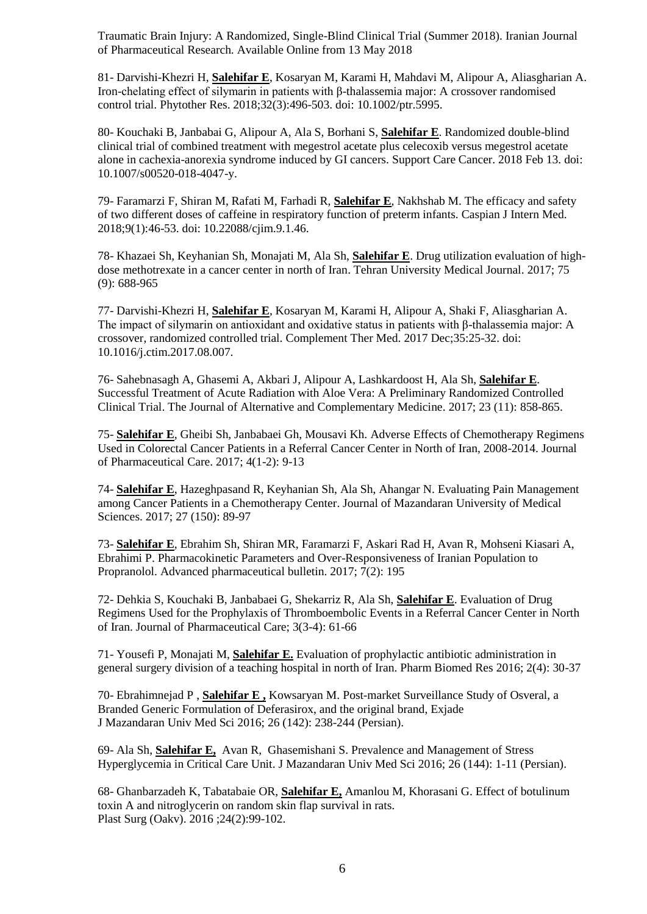Traumatic Brain Injury: A Randomized, Single-Blind Clinical Trial (Summer 2018). Iranian Journal of Pharmaceutical Research. Available Online from 13 May 2018

81- Darvishi-Khezri H, **Salehifar E**, Kosaryan M, Karami H, Mahdavi M, Alipour A, Aliasgharian A. [Iron-chelating effect of silymarin in patients with β-thalassemia major: A crossover randomised](https://www.ncbi.nlm.nih.gov/pubmed/29235162)  [control trial.](https://www.ncbi.nlm.nih.gov/pubmed/29235162) Phytother Res. 2018;32(3):496-503. doi: 10.1002/ptr.5995.

80- Kouchaki B, Janbabai G, Alipour A, Ala S, Borhani S, **Salehifar E**. [Randomized double-blind](https://www.ncbi.nlm.nih.gov/pubmed/29442239)  [clinical trial of combined treatment with megestrol acetate plus celecoxib versus megestrol acetate](https://www.ncbi.nlm.nih.gov/pubmed/29442239)  [alone in cachexia-anorexia syndrome induced by GI cancers.](https://www.ncbi.nlm.nih.gov/pubmed/29442239) Support Care Cancer. 2018 Feb 13. doi: 10.1007/s00520-018-4047-y.

79- Faramarzi F, Shiran M, Rafati M, Farhadi R, **Salehifar E**, Nakhshab M. [The efficacy and safety](https://www.ncbi.nlm.nih.gov/pubmed/29387319)  [of two different doses of caffeine in respiratory function of preterm infants.](https://www.ncbi.nlm.nih.gov/pubmed/29387319) Caspian J Intern Med. 2018;9(1):46-53. doi: 10.22088/cjim.9.1.46.

78- Khazaei Sh, Keyhanian Sh, Monajati M, Ala Sh, **Salehifar E**[. Drug utilization evaluation of high](http://tumj.tums.ac.ir/browse.php?a_id=8433&slc_lang=en&sid=1&printcase=1&hbnr=1&hmb=1)[dose methotrexate in a cancer center in north of Iran.](http://tumj.tums.ac.ir/browse.php?a_id=8433&slc_lang=en&sid=1&printcase=1&hbnr=1&hmb=1) Tehran University Medical Journal. 2017; 75 (9): 688-965

77- Darvishi-Khezri H, **Salehifar E**, Kosaryan M, Karami H, Alipour A, Shaki F, Aliasgharian A. [The impact of silymarin on antioxidant and oxidative status in patients with β-thalassemia major: A](https://www.ncbi.nlm.nih.gov/pubmed/29154063)  [crossover, randomized controlled trial.](https://www.ncbi.nlm.nih.gov/pubmed/29154063) Complement Ther Med. 2017 Dec;35:25-32. doi: 10.1016/j.ctim.2017.08.007.

76- Sahebnasagh A, Ghasemi A, Akbari J, Alipour A, Lashkardoost H, Ala Sh, **Salehifar E**. [Successful Treatment of Acute Radiation with Aloe Vera: A Preliminary Randomized Controlled](http://online.liebertpub.com/doi/abs/10.1089/acm.2017.0047)  [Clinical Trial.](http://online.liebertpub.com/doi/abs/10.1089/acm.2017.0047) The Journal of Alternative and Complementary Medicine. 2017; 23 (11): 858-865.

75- **Salehifar E**, Gheibi Sh, Janbabaei Gh, Mousavi Kh. [Adverse Effects of Chemotherapy Regimens](http://jpc.tums.ac.ir/index.php/jpc/article/view/140)  [Used in Colorectal Cancer Patients in a Referral Cancer Center in North of Iran, 2008-2014.](http://jpc.tums.ac.ir/index.php/jpc/article/view/140) Journal of Pharmaceutical Care. 2017; 4(1-2): 9-13

74- **Salehifar E**, Hazeghpasand R, Keyhanian Sh, Ala Sh, Ahangar N. [Evaluating Pain Management](http://jmums.mazums.ac.ir/article-1-8851-en.html)  [among Cancer Patients in a Chemotherapy Center.](http://jmums.mazums.ac.ir/article-1-8851-en.html) Journal of Mazandaran University of Medical Sciences. 2017; 27 (150): 89-97

73- **Salehifar E**, Ebrahim Sh, Shiran MR, Faramarzi F, Askari Rad H, Avan R, Mohseni Kiasari A, Ebrahimi P. [Pharmacokinetic Parameters and Over-Responsiveness of Iranian Population to](https://www.ncbi.nlm.nih.gov/pmc/articles/PMC5527233/)  [Propranolol.](https://www.ncbi.nlm.nih.gov/pmc/articles/PMC5527233/) Advanced pharmaceutical bulletin. 2017; 7(2): 195

72- Dehkia S, Kouchaki B, Janbabaei G, Shekarriz R, Ala Sh, **Salehifar E**. [Evaluation of Drug](http://jpc.tums.ac.ir/index.php/jpc/article/view/121)  [Regimens Used for the Prophylaxis of Thromboembolic Events in a Referral Cancer Center in North](http://jpc.tums.ac.ir/index.php/jpc/article/view/121)  [of Iran.](http://jpc.tums.ac.ir/index.php/jpc/article/view/121) Journal of Pharmaceutical Care; 3(3-4): 61-66

71- Yousefi P, Monajati M, **Salehifar E.** Evaluation of prophylactic antibiotic administration in general surgery division of a teaching hospital in north of Iran. Pharm Biomed Res 2016; 2(4): 30-37

70- Ebrahimnejad P , **Salehifar E ,** Kowsaryan M. Post-market Surveillance Study of Osveral, a Branded Generic Formulation of Deferasirox, and the original brand, Exjade J Mazandaran Univ Med Sci 2016; 26 (142): 238-244 (Persian).

69- Ala Sh, **Salehifar E,** Avan R, Ghasemishani S. Prevalence and Management of Stress Hyperglycemia in Critical Care Unit. J Mazandaran Univ Med Sci 2016; 26 (144): 1-11 (Persian).

68- Ghanbarzadeh K, Tabatabaie OR, **Salehifar E,** Amanlou M, Khorasani G. [Effect of botulinum](https://www.ncbi.nlm.nih.gov/pubmed/27441193)  [toxin A and nitroglycerin on random skin flap survival in rats.](https://www.ncbi.nlm.nih.gov/pubmed/27441193) Plast Surg (Oakv). 2016 ;24(2):99-102.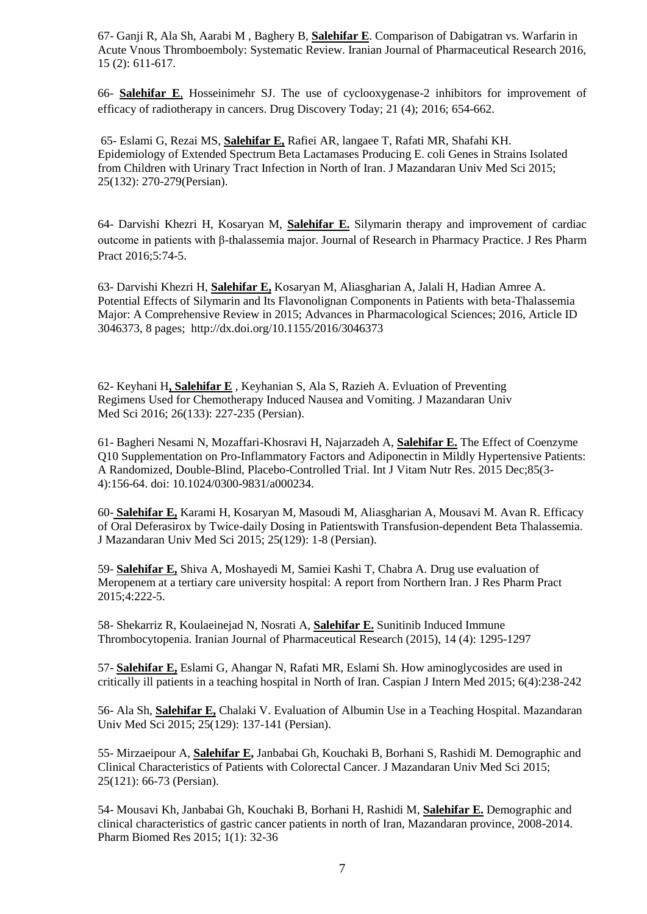67- Ganji R, Ala Sh, Aarabi M , Baghery B, **Salehifar E**. Comparison of Dabigatran vs. Warfarin in Acute Vnous Thromboemboly: Systematic Review. Iranian Journal of Pharmaceutical Research 2016, 15 (2): 611-617.

66- **Salehifar E**, Hosseinimehr SJ. The use of cyclooxygenase-2 inhibitors for improvement of efficacy of radiotherapy in cancers. Drug Discovery Today; 21 (4); 2016; 654-662.

65- Eslami G, Rezai MS, **Salehifar E,** Rafiei AR, langaee T, Rafati MR, Shafahi KH. Epidemiology of Extended Spectrum Beta Lactamases Producing E. coli Genes in Strains Isolated from Children with Urinary Tract Infection in North of Iran. J Mazandaran Univ Med Sci 2015; 25(132): 270-279(Persian).

64- Darvishi Khezri H, Kosaryan M, **Salehifar E.** Silymarin therapy and improvement of cardiac outcome in patients with β-thalassemia major. Journal of Research in Pharmacy Practice. J Res Pharm Pract 2016;5:74-5.

63- Darvishi Khezri H, **Salehifar E,** Kosaryan M, Aliasgharian A, Jalali H, Hadian Amree A. Potential Effects of Silymarin and Its Flavonolignan Components in Patients with beta-Thalassemia Major: A Comprehensive Review in 2015; Advances in Pharmacological Sciences; 2016, Article ID 3046373, 8 pages; http://dx.doi.org/10.1155/2016/3046373

62- Keyhani H**, Salehifar E** , Keyhanian S, Ala S, Razieh A. Evluation of Preventing Regimens Used for Chemotherapy Induced Nausea and Vomiting. J Mazandaran Univ Med Sci 2016; 26(133): 227-235 (Persian).

61- Bagheri Nesami N, Mozaffari-Khosravi H, Najarzadeh A, **Salehifar E.** [The Effect of Coenzyme](http://www.ncbi.nlm.nih.gov/pubmed/26780394)  [Q10 Supplementation on Pro-Inflammatory Factors and Adiponectin in Mildly Hypertensive Patients:](http://www.ncbi.nlm.nih.gov/pubmed/26780394)  [A Randomized, Double-Blind, Placebo-Controlled Trial.](http://www.ncbi.nlm.nih.gov/pubmed/26780394) Int J Vitam Nutr Res. 2015 Dec;85(3- 4):156-64. doi: 10.1024/0300-9831/a000234.

60- **Salehifar E,** Karami H, Kosaryan M, Masoudi M, Aliasgharian A, Mousavi M. Avan R. Efficacy of Oral Deferasirox by Twice-daily Dosing in Patientswith Transfusion-dependent Beta Thalassemia. J Mazandaran Univ Med Sci 2015; 25(129): 1-8 (Persian).

59- **Salehifar E,** Shiva A, Moshayedi M, Samiei Kashi T, Chabra A. Drug use evaluation of Meropenem at a tertiary care university hospital: A report from Northern Iran. J Res Pharm Pract 2015;4:222-5.

58- Shekarriz R, Koulaeinejad N, Nosrati A, **Salehifar E.** Sunitinib Induced Immune Thrombocytopenia. Iranian Journal of Pharmaceutical Research (2015), 14 (4): 1295-1297

57- **Salehifar E,** Eslami G, Ahangar N, Rafati MR, Eslami Sh. How aminoglycosides are used in critically ill patients in a teaching hospital in North of Iran. Caspian J Intern Med 2015; 6(4):238-242

56- Ala Sh, **Salehifar E,** Chalaki V. Evaluation of Albumin Use in a Teaching Hospital. Mazandaran Univ Med Sci 2015; 25(129): 137-141 (Persian).

55- Mirzaeipour A, **Salehifar E,** Janbabai Gh, Kouchaki B, Borhani S, Rashidi M. Demographic and Clinical Characteristics of Patients with Colorectal Cancer. J Mazandaran Univ Med Sci 2015; 25(121): 66-73 (Persian).

54- Mousavi Kh, Janbabai Gh, Kouchaki B, Borhani H, Rashidi M, **Salehifar E.** Demographic and clinical characteristics of gastric cancer patients in north of Iran, Mazandaran province, 2008-2014. Pharm Biomed Res 2015; 1(1): 32-36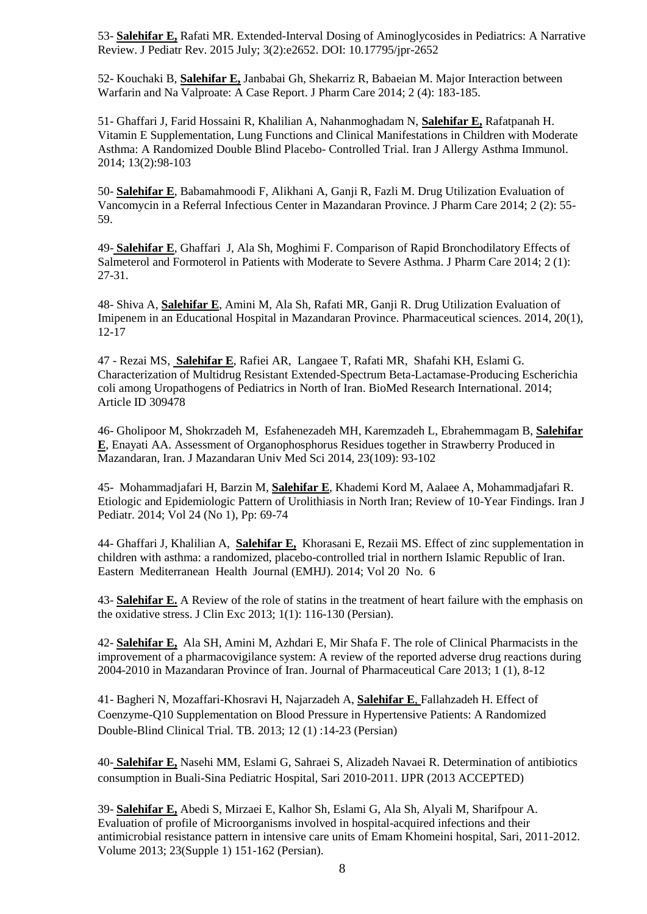53- **Salehifar E,** Rafati MR. Extended-Interval Dosing of Aminoglycosides in Pediatrics: A Narrative Review. J Pediatr Rev. 2015 July; 3(2):e2652. DOI: 10.17795/jpr-2652

52- Kouchaki B, **Salehifar E,** Janbabai Gh, Shekarriz R, Babaeian M. Major Interaction between Warfarin and Na Valproate: A Case Report. J Pharm Care 2014; 2 (4): 183-185.

51- Ghaffari J, Farid Hossaini R, Khalilian A, Nahanmoghadam N, **Salehifar E,** Rafatpanah H. Vitamin E Supplementation, Lung Functions and Clinical Manifestations in Children with Moderate Asthma: A Randomized Double Blind Placebo- Controlled Trial. Iran J Allergy Asthma Immunol. 2014; 13(2):98-103

50- **Salehifar E**, Babamahmoodi F, Alikhani A, Ganji R, Fazli M. Drug Utilization Evaluation of Vancomycin in a Referral Infectious Center in Mazandaran Province. J Pharm Care 2014; 2 (2): 55- 59.

49- **Salehifar E**, Ghaffari J, Ala Sh, Moghimi F. Comparison of Rapid Bronchodilatory Effects of Salmeterol and Formoterol in Patients with Moderate to Severe Asthma. J Pharm Care 2014; 2 (1): 27-31.

48- Shiva A, **Salehifar E**, Amini M, Ala Sh, Rafati MR, Ganji R. Drug Utilization Evaluation of Imipenem in an Educational Hospital in Mazandaran Province. Pharmaceutical sciences. 2014, 20(1), 12-17

47 - [Rezai](http://www.hindawi.com/14174783/) MS, **[Salehifar](http://www.hindawi.com/64235947/) E**, [Rafiei](http://www.hindawi.com/57145913/) AR, [Langaee](http://www.hindawi.com/60763790/) T, [Rafati](http://www.hindawi.com/35085813/) MR, [Shafahi](http://www.hindawi.com/54617690/) KH, Eslami G. Characterization of Multidrug Resistant Extended-Spectrum Beta-Lactamase-Producing Escherichia coli among Uropathogens of Pediatrics in North of Iran. BioMed Research International. 2014; Article ID 309478

46- Gholipoor M, Shokrzadeh M, Esfahenezadeh MH, Karemzadeh L, Ebrahemmagam B, **Salehifar E**, Enayati AA. Assessment of Organophosphorus Residues together in Strawberry Produced in Mazandaran, Iran. [J Mazandaran Univ Med Sci 2014, 23\(109\): 93-102](http://jmums.mazums.ac.ir/browse.php?mag_id=96&slc_lang=en&sid=1)

45- Mohammadjafari H, Barzin M, **Salehifar E**, Khademi Kord M, Aalaee A, Mohammadjafari R. Etiologic and Epidemiologic Pattern of Urolithiasis in North Iran; Review of 10-Year Findings. Iran J Pediatr. 2014; Vol 24 (No 1), Pp: 69-74

44- Ghaffari J, Khalilian A, **Salehifar E,** Khorasani E, Rezaii MS. Effect of zinc supplementation in children with asthma: a randomized, placebo-controlled trial in northern Islamic Republic of Iran. Eastern Mediterranean Health Journal (EMHJ). 2014; Vol 20 No. 6

43- **Salehifar E.** A Review of the role of statins in the treatment of heart failure with the emphasis on the oxidative stress. J Clin Exc 2013; 1(1): 116-130 (Persian).

42- **Salehifar E,** Ala SH, Amini M, Azhdari E, Mir Shafa F. [The role of Clinical Pharmacists in the](http://scholar.google.com/citations?view_op=view_citation&hl=en&user=3tXwLXYAAAAJ&citation_for_view=3tXwLXYAAAAJ:HDshCWvjkbEC)  [improvement of a pharmacovigilance system: A review of the reported adverse drug reactions during](http://scholar.google.com/citations?view_op=view_citation&hl=en&user=3tXwLXYAAAAJ&citation_for_view=3tXwLXYAAAAJ:HDshCWvjkbEC)  [2004-2010 in Mazandaran Province of Iran.](http://scholar.google.com/citations?view_op=view_citation&hl=en&user=3tXwLXYAAAAJ&citation_for_view=3tXwLXYAAAAJ:HDshCWvjkbEC) Journal of Pharmaceutical Care 2013; 1 (1), 8-12

41- Bagheri N, Mozaffari-Khosravi H, Najarzadeh A, **Salehifar E**, Fallahzadeh H. Effect of Coenzyme-Q10 Supplementation on Blood Pressure in Hypertensive Patients: A Randomized Double-Blind Clinical Trial. TB. 2013; 12 (1) :14-23 (Persian)

40- **Salehifar E,** Nasehi MM, Eslami G, Sahraei S, Alizadeh Navaei R. Determination of antibiotics consumption in Buali-Sina Pediatric Hospital, Sari 2010-2011. IJPR (2013 ACCEPTED)

39- **Salehifar E,** Abedi S, Mirzaei E, Kalhor Sh, Eslami G, Ala Sh, Alyali M, Sharifpour A. Evaluation of profile of [Microorganisms involved in hospital-acquired infections and their](http://jmums.mazums.ac.ir/browse.php?a_code=A-10-29-90&slc_lang=en&sid=1&sw=)  [antimicrobial resistance pattern in intensive care units of Emam Khomeini hospital, Sari, 2011-2012.](http://jmums.mazums.ac.ir/browse.php?a_code=A-10-29-90&slc_lang=en&sid=1&sw=) Volume 2013; 23(Supple 1) 151-162 (Persian).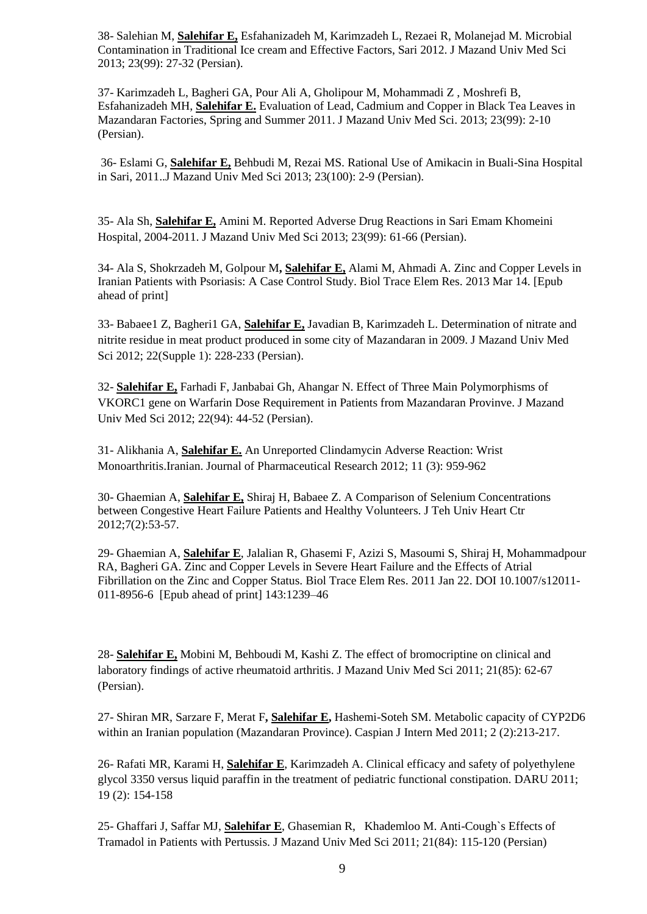38- Salehian M, **Salehifar E,** Esfahanizadeh M, Karimzadeh L, Rezaei R, Molanejad M. Microbial Contamination in Traditional Ice cream and Effective Factors, Sari 2012. J Mazand Univ Med Sci 2013; 23(99): 27-32 (Persian).

37- Karimzadeh L, Bagheri GA, Pour Ali A, Gholipour M, Mohammadi Z , Moshrefi B, Esfahanizadeh MH, **Salehifar E.** [Evaluation of Lead, Cadmium and Copper in Black Tea Leaves in](http://jmums.mazums.ac.ir/browse.php?a_code=A-10-1466-36&slc_lang=en&sid=1&sw=)  [Mazandaran Factories, Spring and Summer 2011. J Mazand Univ Med Sci.](http://jmums.mazums.ac.ir/browse.php?a_code=A-10-1466-36&slc_lang=en&sid=1&sw=) 2013; 23(99): 2-10 (Persian).

36- Eslami G, **Salehifar E,** Behbudi M, Rezai MS. [Rational Use of Amikacin in Buali-Sina Hospital](http://jmums.mazums.ac.ir/browse.php?a_code=A-10-29-89&slc_lang=en&sid=1&sw=)  [in Sari, 2011.](http://jmums.mazums.ac.ir/browse.php?a_code=A-10-29-89&slc_lang=en&sid=1&sw=).J Mazand Univ Med Sci 2013; 23(100): 2-9 (Persian).

35- Ala Sh, **Salehifar E,** Amini M. [Reported Adverse Drug Reactions in Sari Emam Khomeini](http://jmums.mazums.ac.ir/browse.php?a_code=A-10-1768-33&slc_lang=en&sid=1&sw=) [Hospital, 2004-2011.](http://jmums.mazums.ac.ir/browse.php?a_code=A-10-1768-33&slc_lang=en&sid=1&sw=) J Mazand Univ Med Sci 2013; 23(99): 61-66 (Persian).

34- [Ala S,](http://www.ncbi.nlm.nih.gov/pubmed?term=Ala%20S%5BAuthor%5D&cauthor=true&cauthor_uid=23483426) [Shokrzadeh M,](http://www.ncbi.nlm.nih.gov/pubmed?term=Shokrzadeh%20M%5BAuthor%5D&cauthor=true&cauthor_uid=23483426) [Golpour M](http://www.ncbi.nlm.nih.gov/pubmed?term=Golpour%20M%5BAuthor%5D&cauthor=true&cauthor_uid=23483426)**, [Salehifar E,](http://www.ncbi.nlm.nih.gov/pubmed?term=Salehifar%20E%5BAuthor%5D&cauthor=true&cauthor_uid=23483426)** [Alami M,](http://www.ncbi.nlm.nih.gov/pubmed?term=Alami%20M%5BAuthor%5D&cauthor=true&cauthor_uid=23483426) [Ahmadi A.](http://www.ncbi.nlm.nih.gov/pubmed?term=Ahmadi%20A%5BAuthor%5D&cauthor=true&cauthor_uid=23483426) Zinc and Copper Levels in Iranian Patients with Psoriasis: A Case Control Study. [Biol Trace Elem Res.](http://www.ncbi.nlm.nih.gov/pubmed/23483426) 2013 Mar 14. [Epub ahead of print]

33- Babaee1 Z, Bagheri1 GA, **Salehifar E,** Javadian B, Karimzadeh L. Determination of nitrate and nitrite residue in meat product produced in some city of Mazandaran in 2009. J Mazand Univ Med Sci 2012; 22(Supple 1): 228-233 (Persian).

32- **Salehifar E,** Farhadi F, Janbabai Gh, Ahangar N. Effect of Three Main Polymorphisms of VKORC1 gene on Warfarin Dose Requirement in Patients from Mazandaran Provinve. J Mazand Univ Med Sci 2012; 22(94): 44-52 (Persian).

31- Alikhania A, **Salehifar E.** An Unreported Clindamycin Adverse Reaction: Wrist Monoarthritis.Iranian. Journal of Pharmaceutical Research 2012; 11 (3): 959-962

30- Ghaemian A, **Salehifar E,** Shiraj H, Babaee Z. A Comparison of Selenium Concentrations between Congestive Heart Failure Patients and Healthy Volunteers. J Teh Univ Heart Ctr 2012;7(2):53-57.

29- [Ghaemian A,](http://www.ncbi.nlm.nih.gov/pubmed?term=%22Ghaemian%20A%22%5BAuthor%5D) **[Salehifar E](http://www.ncbi.nlm.nih.gov/pubmed?term=%22Salehifar%20E%22%5BAuthor%5D)**, [Jalalian R,](http://www.ncbi.nlm.nih.gov/pubmed?term=%22Jalalian%20R%22%5BAuthor%5D) [Ghasemi F,](http://www.ncbi.nlm.nih.gov/pubmed?term=%22Ghasemi%20F%22%5BAuthor%5D) [Azizi S,](http://www.ncbi.nlm.nih.gov/pubmed?term=%22Azizi%20S%22%5BAuthor%5D) [Masoumi S,](http://www.ncbi.nlm.nih.gov/pubmed?term=%22Masoumi%20S%22%5BAuthor%5D) [Shiraj H,](http://www.ncbi.nlm.nih.gov/pubmed?term=%22Shiraj%20H%22%5BAuthor%5D) [Mohammadpour](http://www.ncbi.nlm.nih.gov/pubmed?term=%22Mohammadpour%20RA%22%5BAuthor%5D)  [RA,](http://www.ncbi.nlm.nih.gov/pubmed?term=%22Mohammadpour%20RA%22%5BAuthor%5D) [Bagheri GA.](http://www.ncbi.nlm.nih.gov/pubmed?term=%22Bagheri%20GA%22%5BAuthor%5D) Zinc and Copper Levels in Severe Heart Failure and the Effects of Atrial Fibrillation on the Zinc and Copper Status. [Biol Trace Elem Res.](javascript:AL_get(this,%20) 2011 Jan 22. DOI 10.1007/s12011- 011-8956-6 [Epub ahead of print] 143:1239–46

28- **Salehifar E,** Mobini M, Behboudi M, Kashi Z. The effect of bromocriptine on clinical and laboratory findings of active rheumatoid arthritis. J Mazand Univ Med Sci 2011; 21(85): 62-67 (Persian).

27- Shiran MR, [Sarzare F,](http://www.ncbi.nlm.nih.gov/pubmed?term=%22Sarzare%20F%22%5BAuthor%5D) Merat F**, [Salehifar E,](http://www.ncbi.nlm.nih.gov/pubmed?term=%22Salehifar%20E%22%5BAuthor%5D)** [Hashemi-Soteh SM.](http://www.ncbi.nlm.nih.gov/pubmed?term=%22Hashemi-Soteh%20SM%22%5BAuthor%5D) Metabolic capacity of CYP2D6 within an Iranian population (Mazandaran Province). Caspian J Intern Med 2011; 2 (2):213-217.

26- Rafati MR, Karami H, **Salehifar E**, Karimzadeh A. Clinical efficacy and safety of polyethylene glycol 3350 versus liquid paraffin in the treatment of pediatric functional constipation. DARU 2011; 19 (2): 154-158

25- Ghaffari J, Saffar MJ, **Salehifar E**, Ghasemian R, Khademloo M. Anti-Cough`s Effects of Tramadol in Patients with Pertussis. J Mazand Univ Med Sci 2011; 21(84): 115-120 (Persian)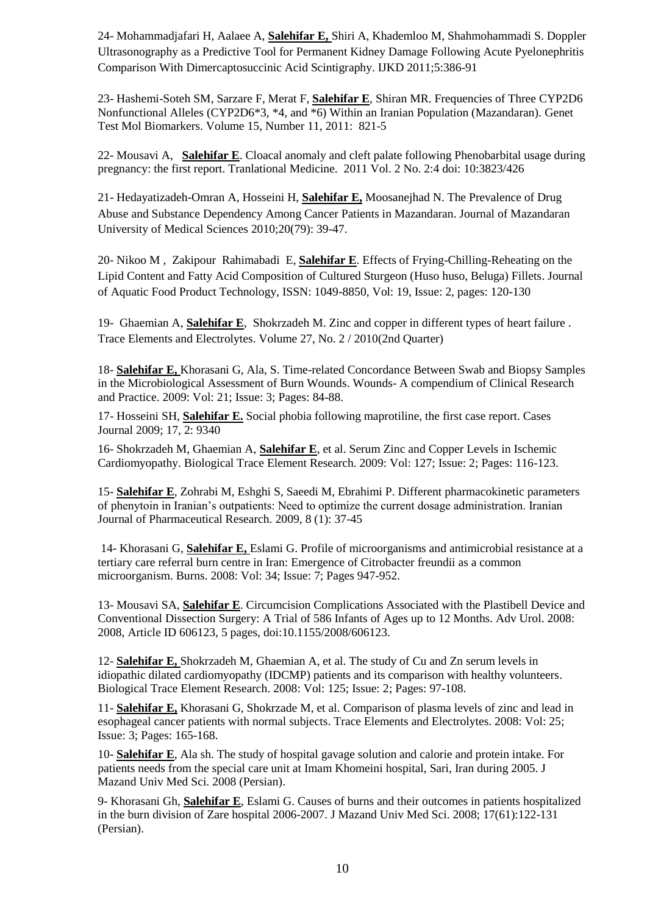24- Mohammadjafari H, Aalaee A, **Salehifar E,** Shiri A, Khademloo M, Shahmohammadi S. Doppler Ultrasonography as a Predictive Tool for Permanent Kidney Damage Following Acute Pyelonephritis Comparison With Dimercaptosuccinic Acid Scintigraphy. IJKD 2011;5:386-91

23- [Hashemi-Soteh SM,](http://www.ncbi.nlm.nih.gov/pubmed?term=%22Hashemi-Soteh%20SM%22%5BAuthor%5D) [Sarzare F,](http://www.ncbi.nlm.nih.gov/pubmed?term=%22Sarzare%20F%22%5BAuthor%5D) [Merat F,](http://www.ncbi.nlm.nih.gov/pubmed?term=%22Merat%20F%22%5BAuthor%5D) **[Salehifar E](http://www.ncbi.nlm.nih.gov/pubmed?term=%22Salehifar%20E%22%5BAuthor%5D)**[, Shiran MR.](http://www.ncbi.nlm.nih.gov/pubmed?term=%22Shiran%20MR%22%5BAuthor%5D) Frequencies of Three CYP2D6 Nonfunctional Alleles (CYP2D6\*3, \*4, and \*6) Within an Iranian Population (Mazandaran). [Genet](javascript:AL_get(this,%20)  [Test Mol Biomarkers.](javascript:AL_get(this,%20) Volume 15, Number 11, 2011: 821-5

22- Mousavi A, **Salehifar E**. [Cloacal anomaly and cleft palate following Phenobarbital usage during](http://imedpub.com/ojs/index.php/transbiomed/article/view/426)  [pregnancy: the first report.](http://imedpub.com/ojs/index.php/transbiomed/article/view/426) Tranlational Medicine. 2011 Vol. 2 No. 2:4 doi: 10:3823/426

21- Hedayatizadeh-Omran A, Hosseini H, **Salehifar E,** Moosanejhad N. The Prevalence of Drug Abuse and Substance Dependency Among Cancer Patients in Mazandaran. Journal of Mazandaran University of Medical Sciences 2010;20(79): 39-47.

20- [Nikoo M](http://discover-decouvrir.cisti-icist.nrc-cnrc.gc.ca/dcvr/ctrl?action=dsere&index=au&req=%22Nikoo%2C%20Mehdi%22) , Zakipour [Rahimabadi E,](http://discover-decouvrir.cisti-icist.nrc-cnrc.gc.ca/dcvr/ctrl?action=dsere&index=au&req=%22Rahimabadi%2C%20Eshagh%20Zakipour%22) **[Salehifar](http://discover-decouvrir.cisti-icist.nrc-cnrc.gc.ca/dcvr/ctrl?action=dsere&index=au&req=%22Rahimabadi%2C%20Eshagh%20Zakipour%22) E**. [Effects of Frying-Chilling-Reheating on the](http://discover-decouvrir.cisti-icist.nrc-cnrc.gc.ca/dcvr/ctrl?action=shwart&aix=0&aid=15710152)  [Lipid Content and Fatty Acid Composition of Cultured Sturgeon \(Huso huso, Beluga\) Fillets.](http://discover-decouvrir.cisti-icist.nrc-cnrc.gc.ca/dcvr/ctrl?action=shwart&aix=0&aid=15710152) Journal of Aquatic Food Product Technology, ISSN: 1049-8850, Vol: 19, Issue: 2, pages: 120-130

19- Ghaemian A, **Salehifar E**, Shokrzadeh M[. Zinc and copper in different types of heart failure](http://www.dustri.com/nc/journals-in-english.html?artId=7417) . Trace Elements and Electrolytes. Volume 27, No. 2 / 2010(2nd Quarter)

18- **Salehifar E,** Khorasani G, Ala, S. [Time-related Concordance Between Swab and Biopsy Samples](http://apps.isiknowledge.com/full_record.do?product=UA&search_mode=GeneralSearch&qid=2&SID=Y2G2acPd5M8fLfo@NND&page=1&doc=1&colname=CCC)  [in the Microbiological Assessment of Burn Wounds.](http://apps.isiknowledge.com/full_record.do?product=UA&search_mode=GeneralSearch&qid=2&SID=Y2G2acPd5M8fLfo@NND&page=1&doc=1&colname=CCC) Wounds- A compendium of Clinical Research and Practice. 2009: Vol: 21; Issue: 3; Pages: 84-88.

17- Hosseini SH, **Salehifar E.** Social phobia following maprotiline, the first case report. Cases Journal 2009; 17, 2: 9340

16- Shokrzadeh M, Ghaemian A, **Salehifar E**, et al. [Serum Zinc and Copper Levels in Ischemic](http://apps.isiknowledge.com/full_record.do?product=UA&search_mode=GeneralSearch&qid=2&SID=Y2G2acPd5M8fLfo@NND&page=1&doc=2&colname=WOS&cacheurlFromRightClick=no)  [Cardiomyopathy.](http://apps.isiknowledge.com/full_record.do?product=UA&search_mode=GeneralSearch&qid=2&SID=Y2G2acPd5M8fLfo@NND&page=1&doc=2&colname=WOS&cacheurlFromRightClick=no) Biological Trace Element Research. 2009: Vol: 127; Issue: 2; Pages: 116-123.

15- **Salehifar E**, Zohrabi M, Eshghi S, Saeedi M, Ebrahimi P. Different pharmacokinetic parameters of phenytoin in Iranian's outpatients: Need to optimize the current dosage administration. Iranian Journal of Pharmaceutical Research. 2009, 8 (1): 37-45

14- Khorasani G, **Salehifar E,** Eslami G[. Profile of microorganisms and antimicrobial resistance at a](http://www.sciencedirect.com/science?_ob=ArticleURL&_udi=B6T52-4S69SCW-9&_user=85093&_coverDate=11%2F30%2F2008&_alid=898896950&_rdoc=1&_fmt=high&_orig=search&_cdi=4990&_docanchor=&view=c&_ct=1&_acct=C000060043&_version=1&_urlVersion=0&_userid=85093&md5=38ef90733dc28e93ae137764b5d282b5)  [tertiary care referral burn centre in Iran: Emergence of Citrobacter freundii as a common](http://www.sciencedirect.com/science?_ob=ArticleURL&_udi=B6T52-4S69SCW-9&_user=85093&_coverDate=11%2F30%2F2008&_alid=898896950&_rdoc=1&_fmt=high&_orig=search&_cdi=4990&_docanchor=&view=c&_ct=1&_acct=C000060043&_version=1&_urlVersion=0&_userid=85093&md5=38ef90733dc28e93ae137764b5d282b5)  [microorganism.](http://www.sciencedirect.com/science?_ob=ArticleURL&_udi=B6T52-4S69SCW-9&_user=85093&_coverDate=11%2F30%2F2008&_alid=898896950&_rdoc=1&_fmt=high&_orig=search&_cdi=4990&_docanchor=&view=c&_ct=1&_acct=C000060043&_version=1&_urlVersion=0&_userid=85093&md5=38ef90733dc28e93ae137764b5d282b5) Burns. 2008: Vol: 34; Issue: 7; Pages 947-952.

13- Mousavi SA, **Salehifar E**. [Circumcision Complications Associated with the Plastibell Device and](http://apps.isiknowledge.com/full_record.do?product=UA&search_mode=GeneralSearch&qid=2&SID=Y2G2acPd5M8fLfo@NND&page=1&doc=4&colname=MEDLINE)  [Conventional Dissection Surgery: A Trial of 586 Infants of Ages up to 12 Months.](http://apps.isiknowledge.com/full_record.do?product=UA&search_mode=GeneralSearch&qid=2&SID=Y2G2acPd5M8fLfo@NND&page=1&doc=4&colname=MEDLINE) Adv Urol. 2008: 2008, Article ID 606123, 5 pages, doi:10.1155/2008/606123.

12- **Salehifar E,** Shokrzadeh M, Ghaemian A, et al. [The study of Cu and Zn serum levels in](http://apps.isiknowledge.com/full_record.do?product=UA&search_mode=GeneralSearch&qid=2&SID=Y2G2acPd5M8fLfo@NND&page=1&doc=6&colname=WOS&cacheurlFromRightClick=no)  [idiopathic dilated cardiomyopathy \(IDCMP\) patients and its comparison with healthy volunteers.](http://apps.isiknowledge.com/full_record.do?product=UA&search_mode=GeneralSearch&qid=2&SID=Y2G2acPd5M8fLfo@NND&page=1&doc=6&colname=WOS&cacheurlFromRightClick=no) Biological Trace Element Research. 2008: Vol: 125; Issue: 2; Pages: 97-108.

11- **Salehifar E,** Khorasani G, Shokrzade M, et al. [Comparison of plasma levels of zinc and lead in](http://apps.isiknowledge.com/full_record.do?product=UA&search_mode=GeneralSearch&qid=2&SID=Y2G2acPd5M8fLfo@NND&page=1&doc=8&colname=WOS)  [esophageal cancer patients with normal subjects.](http://apps.isiknowledge.com/full_record.do?product=UA&search_mode=GeneralSearch&qid=2&SID=Y2G2acPd5M8fLfo@NND&page=1&doc=8&colname=WOS) Trace Elements and Electrolytes. 2008: Vol: 25; Issue: 3; Pages: 165-168.

10- **Salehifar E**, Ala sh. The study of hospital gavage solution and calorie and protein intake. For patients needs from the special care unit at Imam Khomeini hospital, Sari, Iran during 2005. J Mazand Univ Med Sci. 2008 (Persian).

9- Khorasani Gh, **Salehifar E**, Eslami G. Causes of burns and their outcomes in patients hospitalized in the burn division of Zare hospital 2006-2007. J Mazand Univ Med Sci. 2008; 17(61):122-131 (Persian).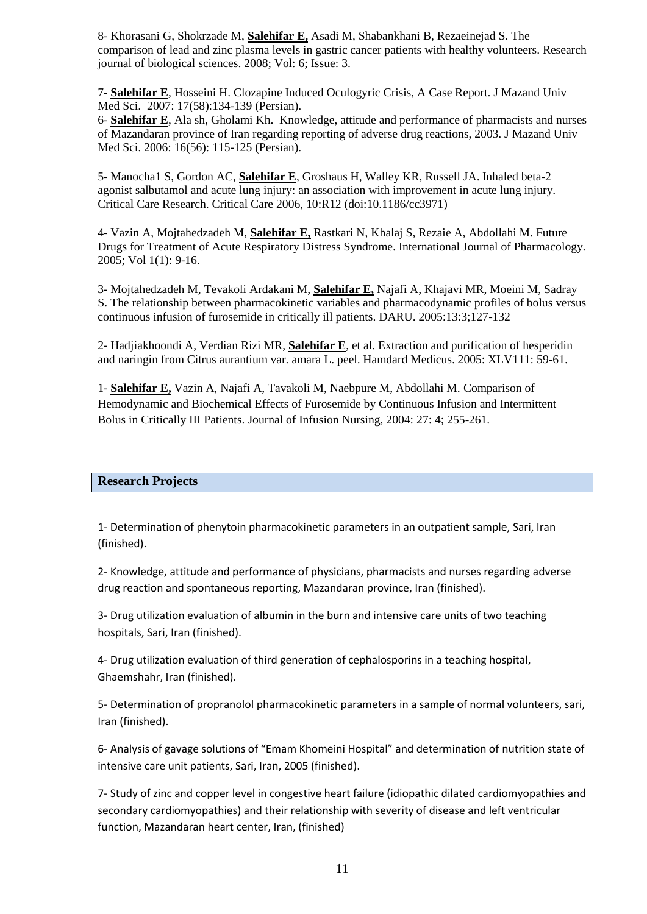8- Khorasani G, Shokrzade M, **Salehifar E,** Asadi M, Shabankhani B, Rezaeinejad S. The comparison of lead and zinc plasma levels in gastric cancer patients with healthy volunteers. Research journal of biological sciences. 2008; Vol: 6; Issue: 3.

7- **Salehifar E**, Hosseini H. Clozapine Induced Oculogyric Crisis, A Case Report. J Mazand Univ Med Sci. 2007: 17(58):134-139 (Persian).

6- **Salehifar E**, Ala sh, Gholami Kh. Knowledge, attitude and performance of pharmacists and nurses of Mazandaran province of Iran regarding reporting of adverse drug reactions, 2003. J Mazand Univ Med Sci. 2006: 16(56): 115-125 (Persian).

5- Manocha1 S, Gordon AC, **Salehifar E**, Groshaus H, Walley KR, Russell JA. Inhaled beta-2 agonist salbutamol and acute lung injury: an association with improvement in acute lung injury. Critical Care Research. Critical Care 2006, 10:R12 (doi:10.1186/cc3971)

4- [Vazin](http://scialert.com/asci/author.php?author=Afsaneh%20Vazin) A, [Mojtahedzadeh](http://scialert.com/asci/author.php?author=Mojtaba%20Mojtahedzadeh) M, **[Salehifar](http://scialert.com/asci/author.php?author=Ebrahim%20Salehifar) E,** [Rastkari](http://scialert.com/asci/author.php?author=Noushin%20Rastkari) N, [Khalaj](http://scialert.com/asci/author.php?author=Siavash%20Khalaj) S, [Rezaie](http://scialert.com/asci/author.php?author=Ali%20Rezaie) A, [Abdollahi](http://scialert.com/asci/author.php?author=Mohammad%20Abdollahi) M. Future Drugs for Treatment of Acute Respiratory Distress Syndrome. International Journal of Pharmacology. 2005; Vol 1(1): 9-16.

3- Mojtahedzadeh M, Tevakoli Ardakani M, **Salehifar E,** Najafi A, Khajavi MR, Moeini M, Sadray S. The relationship between pharmacokinetic variables and pharmacodynamic profiles of bolus versus continuous infusion of furosemide in critically ill patients. DARU. 2005:13:3;127-132

2- Hadjiakhoondi A, Verdian Rizi MR, **Salehifar E**, et al. Extraction and purification of hesperidin and naringin from Citrus aurantium var. amara L. peel. Hamdard Medicus. 2005: XLV111: 59-61.

1- **Salehifar E,** Vazin A, Najafi A, Tavakoli M, Naebpure M, Abdollahi M. [Comparison of](http://www.ncbi.nlm.nih.gov/entrez/query.fcgi?db=pubmed&cmd=Retrieve&dopt=AbstractPlus&list_uids=15273633&query_hl=14&itool=pubmed_docsum)  [Hemodynamic and Biochemical Effects of Furosemide by Continuous Infusion and Intermittent](http://www.ncbi.nlm.nih.gov/entrez/query.fcgi?db=pubmed&cmd=Retrieve&dopt=AbstractPlus&list_uids=15273633&query_hl=14&itool=pubmed_docsum)  [Bolus in Critically III Patients. J](http://www.ncbi.nlm.nih.gov/entrez/query.fcgi?db=pubmed&cmd=Retrieve&dopt=AbstractPlus&list_uids=15273633&query_hl=14&itool=pubmed_docsum)ournal of Infusion Nursing, 2004: 27: 4; 255-261.

### **Research Projects**

1- Determination of phenytoin pharmacokinetic parameters in an outpatient sample, Sari, Iran (finished).

2- Knowledge, attitude and performance of physicians, pharmacists and nurses regarding adverse drug reaction and spontaneous reporting, Mazandaran province, Iran (finished).

3- Drug utilization evaluation of albumin in the burn and intensive care units of two teaching hospitals, Sari, Iran (finished).

4- Drug utilization evaluation of third generation of cephalosporins in a teaching hospital, Ghaemshahr, Iran (finished).

5- Determination of propranolol pharmacokinetic parameters in a sample of normal volunteers, sari, Iran (finished).

6- Analysis of gavage solutions of "Emam Khomeini Hospital" and determination of nutrition state of intensive care unit patients, Sari, Iran, 2005 (finished).

7- Study of zinc and copper level in congestive heart failure (idiopathic dilated cardiomyopathies and secondary cardiomyopathies) and their relationship with severity of disease and left ventricular function, Mazandaran heart center, Iran, (finished)